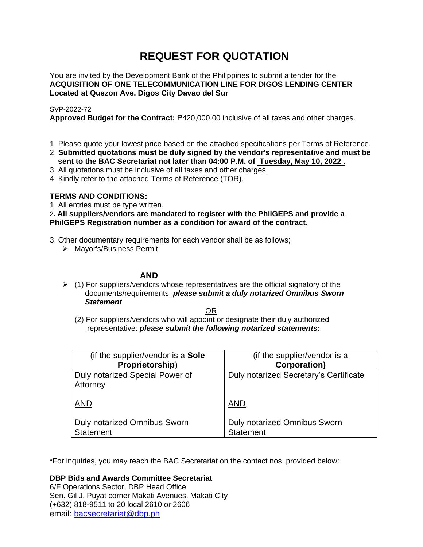# **REQUEST FOR QUOTATION**

You are invited by the Development Bank of the Philippines to submit a tender for the **ACQUISITION OF ONE TELECOMMUNICATION LINE FOR DIGOS LENDING CENTER Located at Quezon Ave. Digos City Davao del Sur**

## SVP-2022-72

**Approved Budget for the Contract:** ₱420,000.00 inclusive of all taxes and other charges.

- 1. Please quote your lowest price based on the attached specifications per Terms of Reference.
- 2. **Submitted quotations must be duly signed by the vendor's representative and must be sent to the BAC Secretariat not later than 04:00 P.M. of Tuesday, May 10, 2022 .**
- 3. All quotations must be inclusive of all taxes and other charges.
- 4. Kindly refer to the attached Terms of Reference (TOR).

# **TERMS AND CONDITIONS:**

1. All entries must be type written.

# 2**. All suppliers/vendors are mandated to register with the PhilGEPS and provide a PhilGEPS Registration number as a condition for award of the contract.**

- 3. Other documentary requirements for each vendor shall be as follows;
	- ➢ Mayor's/Business Permit;

# **AND**

 $\geq$  (1) For suppliers/vendors whose representatives are the official signatory of the documents/requirements: *please submit a duly notarized Omnibus Sworn Statement*

<u>OR Starting and the Starting OR Starting</u>

(2) For suppliers/vendors who will appoint or designate their duly authorized representative: *please submit the following notarized statements:*

| (if the supplier/vendor is a Sole                       | (if the supplier/vendor is a                            |
|---------------------------------------------------------|---------------------------------------------------------|
| Proprietorship)                                         | <b>Corporation</b> )                                    |
| Duly notarized Special Power of<br>Attorney             | Duly notarized Secretary's Certificate                  |
| <b>AND</b>                                              | <b>AND</b>                                              |
| <b>Duly notarized Omnibus Sworn</b><br><b>Statement</b> | <b>Duly notarized Omnibus Sworn</b><br><b>Statement</b> |

\*For inquiries, you may reach the BAC Secretariat on the contact nos. provided below:

**DBP Bids and Awards Committee Secretariat**  6/F Operations Sector, DBP Head Office

Sen. Gil J. Puyat corner Makati Avenues, Makati City (+632) 818-9511 to 20 local 2610 or 2606 email: [bacsecretariat@dbp.ph](mailto:bacsecretariat@dbp.ph)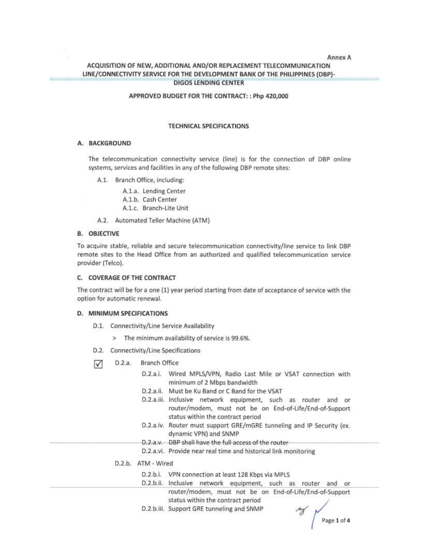## Annex A ACQUISITION OF NEW, ADDITIONAL AND/OR REPLACEMENT TELECOMMUNICATION LINE/CONNECTIVITY SERVICE FOR THE DEVELOPMENT BANK OF THE PHILIPPINES (DBP)-**DIGOS LENDING CENTER**

## APPROVED BUDGET FOR THE CONTRACT: : Php 420,000

#### **TECHNICAL SPECIFICATIONS**

#### A. BACKGROUND

The telecommunication connectivity service (line) is for the connection of DBP online systems, services and facilities in any of the following DBP remote sites:

A.1. Branch Office, including:

A.1.a. Lending Center A.1.b. Cash Center A.1.c. Branch-Lite Unit

A.2. Automated Teller Machine (ATM)

#### **B. OBJECTIVE**

To acquire stable, reliable and secure telecommunication connectivity/line service to link DBP remote sites to the Head Office from an authorized and qualified telecommunication service provider (Telco).

#### C. COVERAGE OF THE CONTRACT

The contract will be for a one (1) year period starting from date of acceptance of service with the option for automatic renewal.

#### D. MINIMUM SPECIFICATIONS

- D.1. Connectivity/Line Service Availability
	- > The minimum availability of service is 99.6%.
- D.2. Connectivity/Line Specifications
- $D.2.a.$ Branch Office √
	- D.2.a.i. Wired MPLS/VPN, Radio Last Mile or VSAT connection with minimum of 2 Mbps bandwidth
	- D.2.a.ii. Must be Ku Band or C Band for the VSAT
	- D.2.a.iii. Inclusive network equipment, such as router and or router/modem, must not be on End-of-Life/End-of-Support status within the contract period
	- D.2.a.iv. Router must support GRE/mGRE tunneling and IP Security (ex. dynamic VPN) and SNMP
	- D.2.a.v. DBP shall have the full access of the router-
	- D.2.a.vi. Provide near real time and historical link monitoring
	- D.2.b. ATM Wired
		- D.2.b.i. VPN connection at least 128 Kbps via MPLS
		- D.2.b.ii. Inclusive network equipment, such as router and or router/modem, must not be on End-of-Life/End-of-Support status within the contract period
		- D.2.b.iii. Support GRE tunneling and SNMP

Page 1 of 4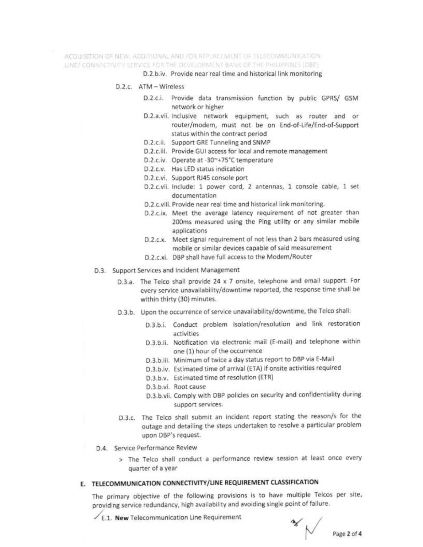ACOUISITION OF NEW, ADDITIONAL AND /OR REPLACEMENT OF TELECOMMUNICATION. LINE/ CONNECTIVITY SERVICE FOR THE DEVELOPMENT BANK OF THE PHILIPPINES (DBP)

D.2.b.iv. Provide near real time and historical link monitoring

- $D.2c$  ATM Wireless
	- D.2.c.i. Provide data transmission function by public GPRS/ GSM network or higher
	- D.2.a.vii. Inclusive network equipment, such as router and or router/modem, must not be on End-of-Life/End-of-Support status within the contract period
	- D.2.c.ii. Support GRE Tunneling and SNMP
	- D.2.c.iii. Provide GUI access for local and remote management
	- D.2.c.iv. Operate at -30~+75°C temperature
	- D.2.c.v. Has LED status indication
	- D.2.c.vi. Support RJ45 console port
	- D.2.c.vii. Include: 1 power cord, 2 antennas, 1 console cable, 1 set documentation
	- D.2.c.viii. Provide near real time and historical link monitoring.
	- D.2.c.ix. Meet the average latency requirement of not greater than 200ms measured using the Ping utility or any similar mobile applications
	- D.2.c.x. Meet signal requirement of not less than 2 bars measured using mobile or similar devices capable of said measurement
	- D.2.c.xi. DBP shall have full access to the Modem/Router
- D.3. Support Services and Incident Management
	- D.3.a. The Telco shall provide 24 x 7 onsite, telephone and email support. For every service unavailability/downtime reported, the response time shall be within thirty (30) minutes.
	- D.3.b. Upon the occurrence of service unavailability/downtime, the Telco shall:
		- D.3.b.i. Conduct problem isolation/resolution and link restoration activities
		- D.3.b.ii. Notification via electronic mail (E-mail) and telephone within one (1) hour of the occurrence
		- D.3.b.iii. Minimum of twice a day status report to DBP via E-Mail
		- D.3.b.iv. Estimated time of arrival (ETA) if onsite activities required
		- D.3.b.v. Estimated time of resolution (ETR)
		- D.3.b.vi. Root cause
		- D.3.b.vii. Comply with DBP policies on security and confidentiality during support services.
	- D.3.c. The Telco shall submit an incident report stating the reason/s for the outage and detailing the steps undertaken to resolve a particular problem upon DBP's request.
- D.4. Service Performance Review
	- > The Telco shall conduct a performance review session at least once every quarter of a year

# E. TELECOMMUNICATION CONNECTIVITY/LINE REQUIREMENT CLASSIFICATION

The primary objective of the following provisions is to have multiple Telcos per site, providing service redundancy, high availability and avoiding single point of failure.

 $\angle$  E.1. New Telecommunication Line Requirement

 $\sim$  Page 2 of 4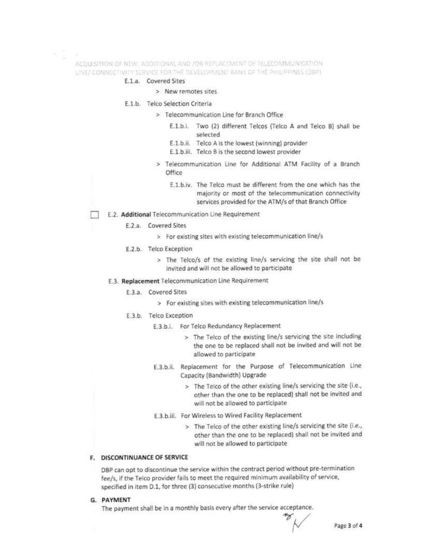ACQUISITION OF NEW, ADDITIONAL AND /OR REPLACEMENT OF TELECOMMUNICATION. LINE/ CONNECTIVITY SERVICE FOR THE DEVELOPMENT BANK OF THE PHILIPPINES (DBP)

## E.1.a. Covered Sites

- > New remotes sites
- E.1.b. Telco Selection Criteria
	- > Telecommunication Line for Branch Office
		- E.1.b.i. Two (2) different Telcos (Telco A and Telco B) shall be selected
		- E.1.b.ii. Telco A is the lowest (winning) provider
		- E.1.b.iii. Telco B is the second lowest provider
	- > Telecommunication Line for Additional ATM Facility of a Branch Office
		- E.1.b.iv. The Telco must be different from the one which has the majority or most of the telecommunication connectivity services provided for the ATM/s of that Branch Office
- E.2. Additional Telecommunication Line Requirement
	- E.2.a. Covered Sites
		- > For existing sites with existing telecommunication line/s
	- E.2.b. Telco Exception
		- > The Telco/s of the existing line/s servicing the site shall not be invited and will not be allowed to participate
	- E.3. Replacement Telecommunication Line Requirement
		- E.3.a. Covered Sites
			- > For existing sites with existing telecommunication line/s
		- E.3.b. Telco Exception
			- E.3.b.i. For Telco Redundancy Replacement
				- > The Telco of the existing line/s servicing the site including the one to be replaced shall not be invited and will not be allowed to participate
			- E.3.b.ii. Replacement for the Purpose of Telecommunication Line Capacity (Bandwidth) Upgrade
				- > The Telco of the other existing line/s servicing the site (i.e., other than the one to be replaced) shall not be invited and will not be allowed to participate
			- E.3.b.iii. For Wireless to Wired Facility Replacement
				- > The Telco of the other existing line/s servicing the site (i.e., other than the one to be replaced) shall not be invited and will not be allowed to participate

## **F. DISCONTINUANCE OF SERVICE**

DBP can opt to discontinue the service within the contract period without pre-termination fee/s, if the Telco provider fails to meet the required minimum availability of service, specified in item D.1, for three (3) consecutive months (3-strike rule)

G. PAYMENT

The payment shall be in a monthly basis every after the service acceptance.